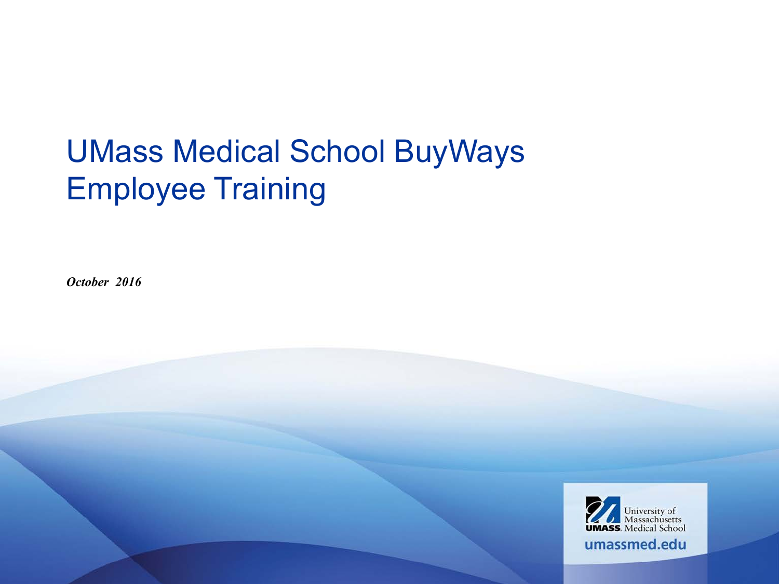#### UMass Medical School BuyWays Employee Training

*October 2016*

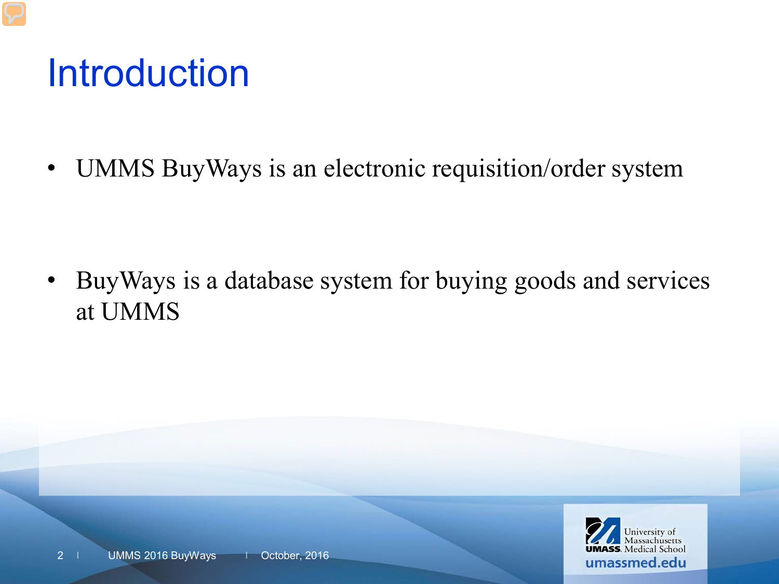## Introduction

• UMMS BuyWays is an electronic requisition/order system

• BuyWays is a database system for buying goods and services at UMMS

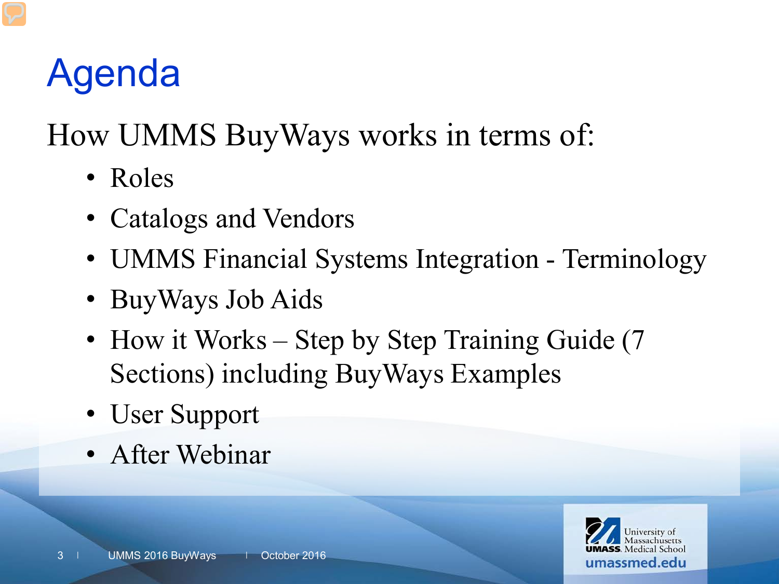# Agenda

How UMMS BuyWays works in terms of:

- Roles
- Catalogs and Vendors
- UMMS Financial Systems Integration Terminology
- BuyWays Job Aids
- How it Works Step by Step Training Guide (7) Sections) including BuyWays Examples
- User Support
- After Webinar

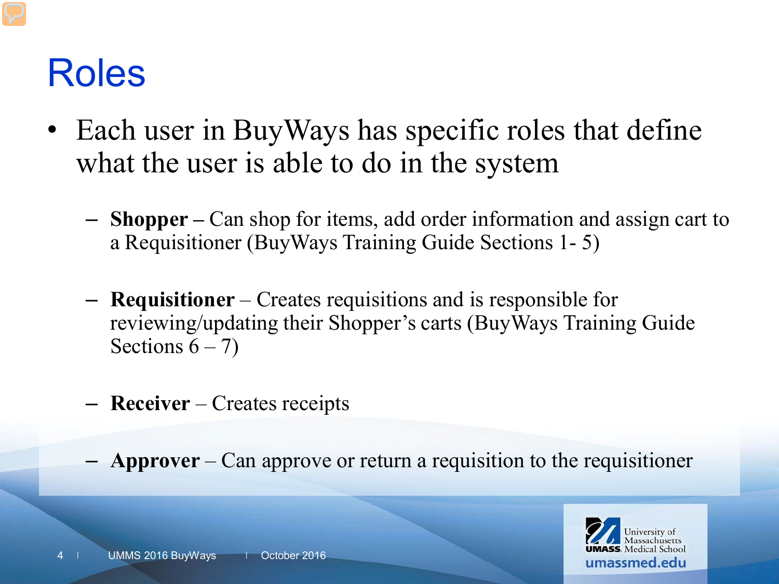#### Roles

- Each user in BuyWays has specific roles that define what the user is able to do in the system
	- **Shopper –** Can shop for items, add order information and assign cart to a Requisitioner (BuyWays Training Guide Sections 1- 5)
	- **Requisitioner** Creates requisitions and is responsible for reviewing/updating their Shopper's carts (BuyWays Training Guide Sections  $6 - 7$ )
	- **Receiver** Creates receipts
	- **Approver** Can approve or return a requisition to the requisitioner

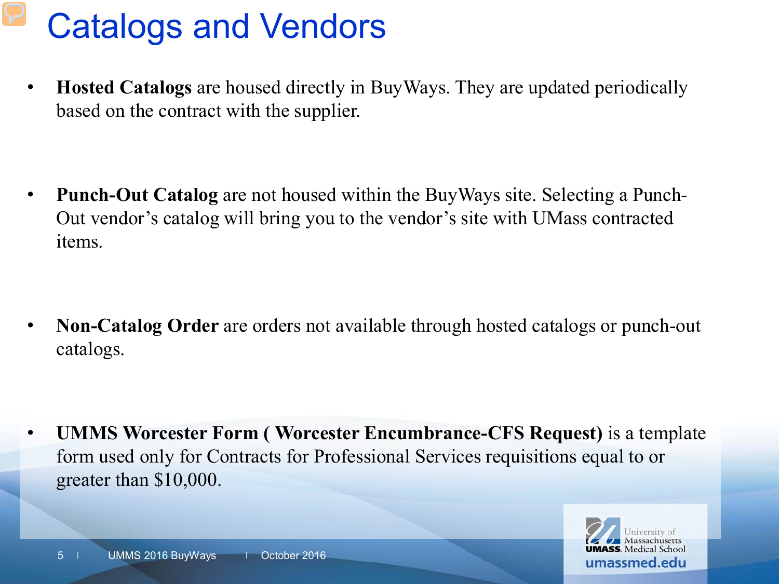#### Catalogs and Vendors

• **Hosted Catalogs** are housed directly in BuyWays. They are updated periodically based on the contract with the supplier.

• **Punch-Out Catalog** are not housed within the BuyWays site. Selecting a Punch-Out vendor's catalog will bring you to the vendor's site with UMass contracted items.

• **Non-Catalog Order** are orders not available through hosted catalogs or punch-out catalogs.

• **UMMS Worcester Form ( Worcester Encumbrance-CFS Request)** is a template form used only for Contracts for Professional Services requisitions equal to or greater than \$10,000.

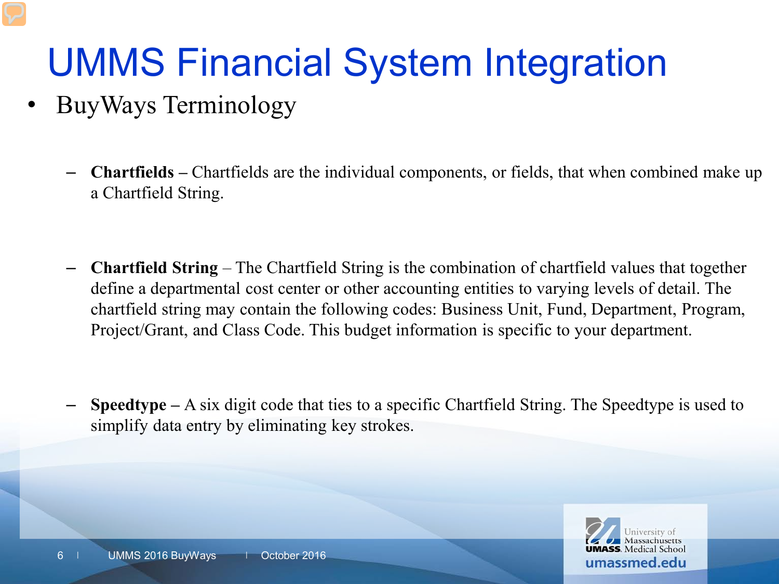# UMMS Financial System Integration

- BuyWays Terminology
	- **Chartfields –** Chartfields are the individual components, or fields, that when combined make up a Chartfield String.
	- **Chartfield String**  The Chartfield String is the combination of chartfield values that together define a departmental cost center or other accounting entities to varying levels of detail. The chartfield string may contain the following codes: Business Unit, Fund, Department, Program, Project/Grant, and Class Code. This budget information is specific to your department.
	- **Speedtype –** A six digit code that ties to a specific Chartfield String. The Speedtype is used to simplify data entry by eliminating key strokes.

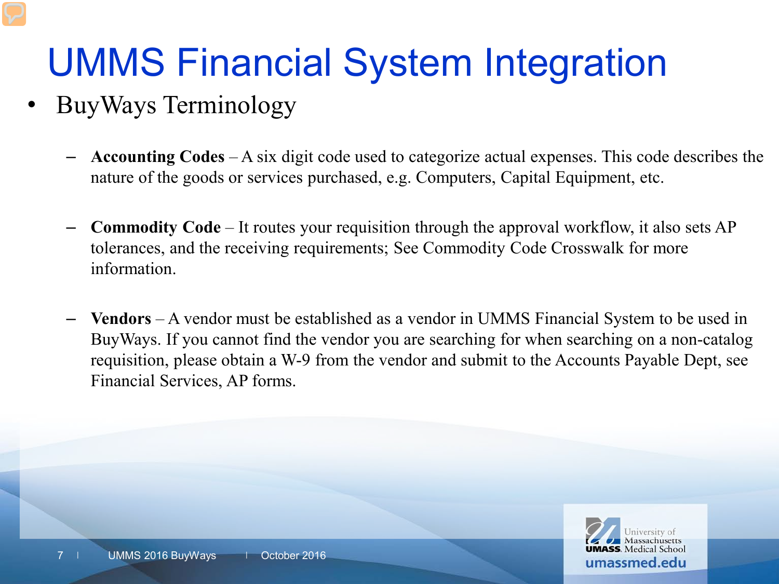# UMMS Financial System Integration

- BuyWays Terminology
	- **Accounting Codes**  A six digit code used to categorize actual expenses. This code describes the nature of the goods or services purchased, e.g. Computers, Capital Equipment, etc.
	- **Commodity Code**  It routes your requisition through the approval workflow, it also sets AP tolerances, and the receiving requirements; See Commodity Code Crosswalk for more information.
	- **Vendors** A vendor must be established as a vendor in UMMS Financial System to be used in BuyWays. If you cannot find the vendor you are searching for when searching on a non-catalog requisition, please obtain a W-9 from the vendor and submit to the Accounts Payable Dept, see Financial Services, AP forms.

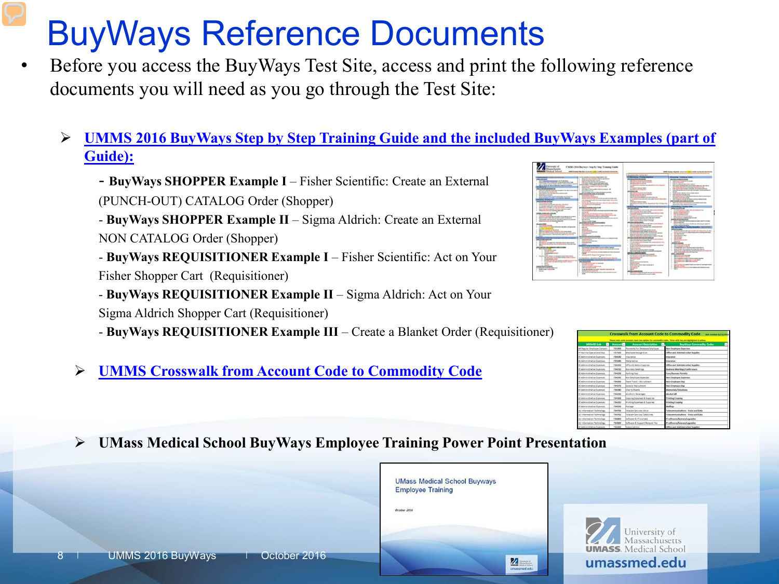#### BuyWays Reference Documents

- Before you access the BuyWays Test Site, access and print the following reference documents you will need as you go through the Test Site:
	- **[UMMS 2016 BuyWays Step by Step Training Guide and the included BuyWays Examples \(part of](http://www.umassmed.edu/globalassets/human-resources/documents/umms-2016-buyways-step-by-step-training-guide-dec.pdf)  [Guide\):](http://www.umassmed.edu/globalassets/human-resources/documents/umms-2016-buyways-step-by-step-training-guide-dec.pdf)**
		- **BuyWays SHOPPER Example I**  Fisher Scientific: Create an External (PUNCH-OUT) CATALOG Order (Shopper)
		- **BuyWays SHOPPER Example II**  Sigma Aldrich: Create an External NON CATALOG Order (Shopper)
		- **BuyWays REQUISITIONER Example I** Fisher Scientific: Act on Your Fisher Shopper Cart (Requisitioner)
		- **BuyWays REQUISITIONER Example II**  Sigma Aldrich: Act on Your Sigma Aldrich Shopper Cart (Requisitioner)
		- **BuyWays REQUISITIONER Example III**  Create a Blanket Order (Requisitioner)
		- **[UMMS Crosswalk from Account Code to Commodity Code](http://inside.umassmed.edu/globalassets/purchasing/documents/buyways/commodity-to-account-)**



| <b>MMARS Sub</b><br>$\blacksquare$ | Account | <b>Account Description</b>            | п. | <b>BuyWays Commodity Codes</b>      |
|------------------------------------|---------|---------------------------------------|----|-------------------------------------|
| AA Regular Employee Compen-        | 725200  | <b>Payments For Deceased Employee</b> |    | <b>Non Employee Expenses</b>        |
| FF Facility Operational Exp.       | 727100  | Employee Recognition                  |    | Office and Administrative Supplies  |
| EE Administrative Expenses         | 754540  | <b>Insurance</b>                      |    | Insurance                           |
| EE Administrative Expenses         | 734180  | Malpractice                           |    | <b>INSURANCE</b>                    |
| EE Administrative Expenses         | 714200  | Office & Admin Supplies               |    | Office and Administrative Supplies  |
| EE Administrative Expenses         | 736210  | <b>Business Meetings</b>              |    | Business Meetings/Conferences       |
| EE Administrative Expenses         | 234250  | <b>Parking Fees</b>                   |    | Fees/ficenses Permits               |
| EE Administrative Expenses         | 794241  | <b>Non Employee Expenses</b>          |    | <b>Non Employee Expenses</b>        |
| EE Administrative Expenses         | 734260  | Team Travel - Recruitment             |    | Non-Employee Exp.                   |
| <b>BE Administrative Expenses</b>  | 734270  | General Recoultment                   |    | Non-Employee Exp                    |
| EE Administrative Expenses         | 754280  | Charlie Events                        |    | Mereurlah/Donations                 |
| EE Administrative Expenses         | 734290  | Alcoholic Beverages                   |    | Abrahad All                         |
| EE Administrative Expenses         | 734550  | Copying Expenses & Supplies           |    | <b>Printing/Copying</b>             |
| EE Administrative Expenses         | 734310  | Printing Expenses & Supplies          |    | <b>Printing/Copying</b>             |
| EE Administrative Expenses         | 734550  | Postage                               |    | Mailings                            |
| UU information Technology          | 734791  | Telecom Services Valce                |    | Telecommunications - Voice and Data |
| UU information Technology          | 754792  | Telecom Services Data Lines           |    | Telecommunications - Voice and Data |
| UU information Technology          | 734800  | Software & IT Licenses                |    | T software/licerons/spgrades        |
| UU Information Technology          | 754810  | Software & Support Renewal Fee        |    | T software/Scenes/sperades          |
| IX Administrative Excenses         | 735000  | Subscriptions                         |    | Office and Administrative Supplies  |

**UMass Medical School BuyWays Employee Training Power Point Presentation**

|                                         | <b>UMass Medical School Buyways</b><br><b>Employee Training</b>                                                                                                                                                                                                                                                                                                                                                                             |                                                              |
|-----------------------------------------|---------------------------------------------------------------------------------------------------------------------------------------------------------------------------------------------------------------------------------------------------------------------------------------------------------------------------------------------------------------------------------------------------------------------------------------------|--------------------------------------------------------------|
|                                         | October 2016                                                                                                                                                                                                                                                                                                                                                                                                                                | University of Massachusetts<br><b>UMASS</b> . Medical School |
| UMMS 2016 BuyWays<br>October 2016<br>87 | $\begin{array}{ c c }\hline \textbf{Z} & \textbf{Z} & \textbf{Z} & \textbf{Z} \\ \hline \textbf{X} & \textbf{X} & \textbf{X} & \textbf{Z} & \textbf{Z} \\ \hline \textbf{X} & \textbf{X} & \textbf{X} & \textbf{X} & \textbf{Z} \\ \hline \textbf{X} & \textbf{X} & \textbf{X} & \textbf{X} & \textbf{Z} & \textbf{Z} \\ \hline \textbf{X} & \textbf{X} & \textbf{X} & \textbf{X} & \textbf{X} & \textbf{Z} \\ \hline \textbf{X} & \textbf$ | umassmed.edu                                                 |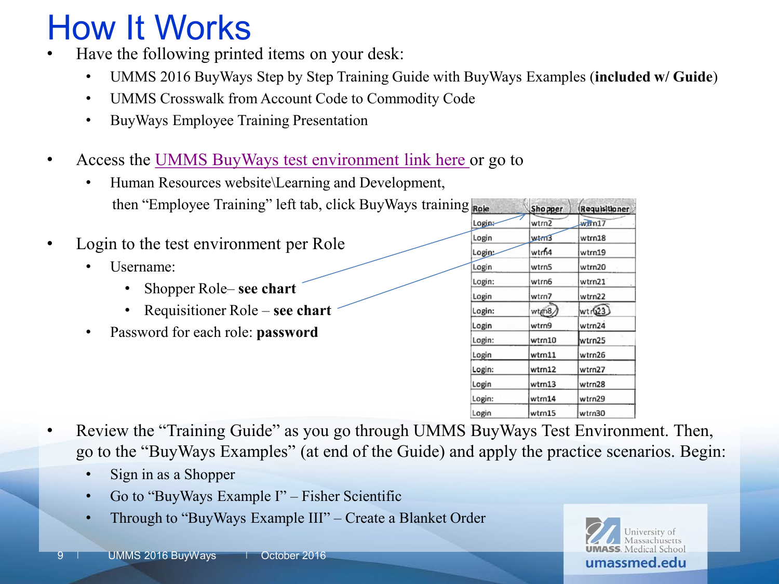#### How It Works

- Have the following printed items on your desk:
	- UMMS 2016 BuyWays Step by Step Training Guide with BuyWays Examples (**included w/ Guide**)
	- UMMS Crosswalk from Account Code to Commodity Code
	- BuyWays Employee Training Presentation
- Access the [UMMS BuyWays test environment link here](https://usertest.sciquest.com/apps/Router/Login?OrgName=UMass&tmstmp=1346331531114) or go to
	- Human Resources website\Learning and Development, then "Employee Training" left tab, click BuyWays training
- Login to the test environment per Role
	- Username:
		- Shopper Role– **see chart**
		- Requisitioner Role **see chart**
	- Password for each role: **password**

| g | Role   | Sho pper | Requisitioner |
|---|--------|----------|---------------|
|   | Login: | wtrn2    | www.n17       |
|   | Login  | wtm3     | wtrn18        |
|   | Login: | wtrh4    | wtrn19        |
|   | Login  | wtrn5    | wtrn20        |
|   | Login: | wtrn6    | wtrn21        |
|   | Login  | wtrn7    | wtrn22        |
|   | Login: | wtm8     | wtr(23)       |
|   | Login  | wtrn9    | wtrn24        |
|   | Login: | wtrn10   | wtrn25        |
|   | Login  | wtm11    | wtrn26        |
|   | Login: | wtrn12   | wtrn27        |
|   | Login  | wtrn13   | wtrn28        |
|   | Login: | wtrn14   | wtrn29        |
|   | Login  | wtm15    | wtrn30        |

- Review the "Training Guide" as you go through UMMS BuyWays Test Environment. Then, go to the "BuyWays Examples" (at end of the Guide) and apply the practice scenarios. Begin:
	- Sign in as a Shopper
	- Go to "BuyWays Example I" Fisher Scientific
	- Through to "BuyWays Example III" Create a Blanket Order

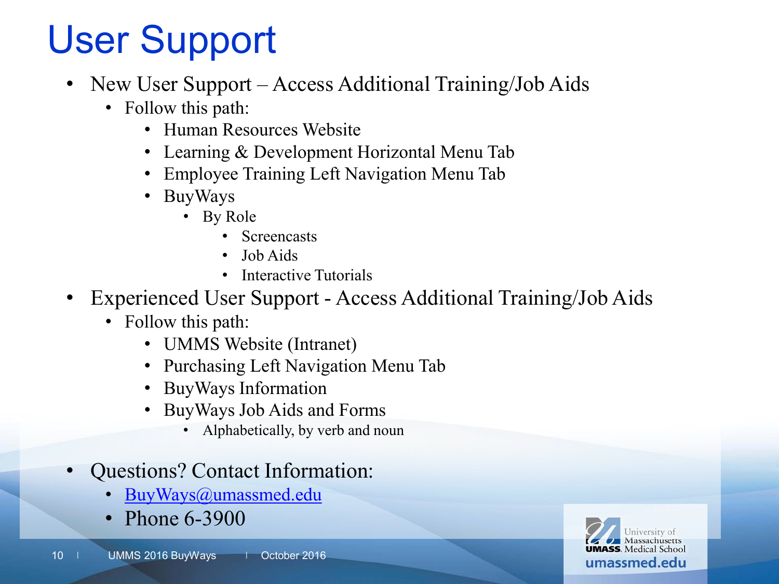# User Support

- New User Support Access Additional Training/Job Aids
	- Follow this path:
		- Human Resources Website
		- Learning & Development Horizontal Menu Tab
		- Employee Training Left Navigation Menu Tab
		- BuyWays
			- By Role
				- **Screencasts**
				- Job Aids
				- Interactive Tutorials
- Experienced User Support Access Additional Training/Job Aids
	- Follow this path:
		- UMMS Website (Intranet)
		- Purchasing Left Navigation Menu Tab
		- BuyWays Information
		- BuyWays Job Aids and Forms
			- Alphabetically, by verb and noun
- Questions? Contact Information:
	- [BuyWays@umassmed.edu](mailto:Buyways@umassmed.edu)
	- Phone 6-3900